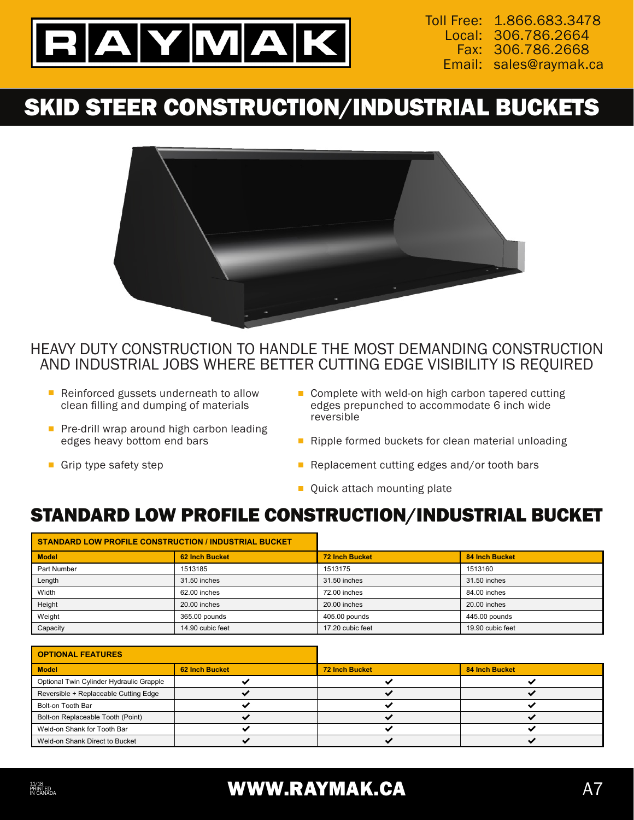

Toll Free: 1.866.683.3478 306.786.2664 Local: 306.786.2668 Fax: Email: sales@raymak.ca

# SKID STEER CONSTRUCTION/INDUSTRIAL BUCKETS



#### HEAVY DUTY CONSTRUCTION TO HANDLE THE MOST DEMANDING CONSTRUCTION AND INDUSTRIAL JOBS WHERE BETTER CUTTING EDGE VISIBILITY IS REQUIRED

- Reinforced gussets underneath to allow clean filling and dumping of materials
- Pre-drill wrap around high carbon leading edges heavy bottom end bars

Grip type safety step

- Complete with weld-on high carbon tapered cutting edges prepunched to accommodate 6 inch wide reversible
- $\blacksquare$  Ripple formed buckets for clean material unloading
- Replacement cutting edges and/or tooth bars
- **Quick attach mounting plate**

#### STANDARD LOW PROFILE CONSTRUCTION/INDUSTRIAL BUCKET

| STANDARD LOW PROFILE CONSTRUCTION / INDUSTRIAL BUCKET |                  |                       |                       |
|-------------------------------------------------------|------------------|-----------------------|-----------------------|
| <b>Model</b>                                          | 62 Inch Bucket   | <b>72 Inch Bucket</b> | <b>84 Inch Bucket</b> |
| Part Number                                           | 1513185          | 1513175               | 1513160               |
| Length                                                | 31.50 inches     | 31.50 inches          | 31.50 inches          |
| Width                                                 | 62.00 inches     | 72.00 inches          | 84.00 inches          |
| Height                                                | 20.00 inches     | 20.00 inches          | 20.00 inches          |
| Weight                                                | 365.00 pounds    | 405.00 pounds         | 445.00 pounds         |
| Capacity                                              | 14.90 cubic feet | 17.20 cubic feet      | 19.90 cubic feet      |

| <b>OPTIONAL FEATURES</b>                 |                |                       |                       |
|------------------------------------------|----------------|-----------------------|-----------------------|
| <b>Model</b>                             | 62 Inch Bucket | <b>72 Inch Bucket</b> | <b>84 Inch Bucket</b> |
| Optional Twin Cylinder Hydraulic Grapple |                |                       |                       |
| Reversible + Replaceable Cutting Edge    |                |                       |                       |
| Bolt-on Tooth Bar                        |                |                       |                       |
| Bolt-on Replaceable Tooth (Point)        |                |                       |                       |
| Weld-on Shank for Tooth Bar              |                |                       |                       |
| Weld-on Shank Direct to Bucket           |                |                       |                       |